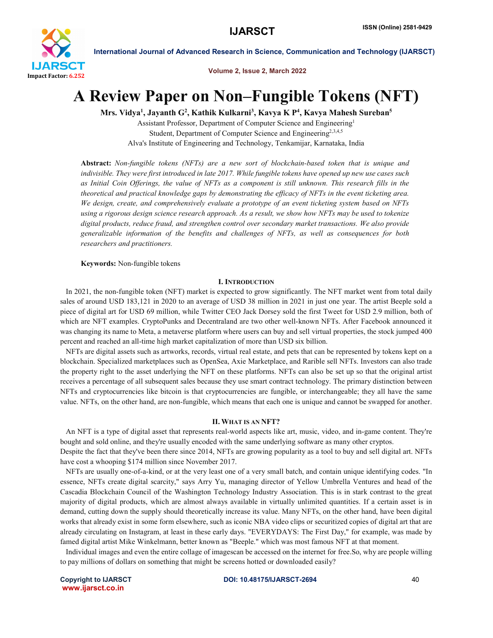

Volume 2, Issue 2, March 2022

# A Review Paper on Non–Fungible Tokens (NFT)

Mrs. Vidya<sup>1</sup>, Jayanth G<sup>2</sup>, Kathik Kulkarni<sup>3</sup>, Kavya K P<sup>4</sup>, Kavya Mahesh Sureban<sup>5</sup>

Assistant Professor, Department of Computer Science and Engineering1 Student, Department of Computer Science and Engineering<sup>2,3,4,5</sup> Alva's Institute of Engineering and Technology, Tenkamijar, Karnataka, India

Abstract: *Non-fungible tokens (NFTs) are a new sort of blockchain-based token that is unique and indivisible. They were first introduced in late 2017. While fungible tokens have opened up new use cases such as Initial Coin Offerings, the value of NFTs as a component is still unknown. This research fills in the theoretical and practical knowledge gaps by demonstrating the efficacy of NFTs in the event ticketing area. We design, create, and comprehensively evaluate a prototype of an event ticketing system based on NFTs using a rigorous design science research approach. As a result, we show how NFTs may be used to tokenize digital products, reduce fraud, and strengthen control over secondary market transactions. We also provide generalizable information of the benefits and challenges of NFTs, as well as consequences for both researchers and practitioners.*

Keywords: Non-fungible tokens

#### I. INTRODUCTION

 In 2021, the non-fungible token (NFT) market is expected to grow significantly. The NFT market went from total daily sales of around USD 183,121 in 2020 to an average of USD 38 million in 2021 in just one year. The artist Beeple sold a piece of digital art for USD 69 million, while Twitter CEO Jack Dorsey sold the first Tweet for USD 2.9 million, both of which are NFT examples. CryptoPunks and Decentraland are two other well-known NFTs. After Facebook announced it was changing its name to Meta, a metaverse platform where users can buy and sell virtual properties, the stock jumped 400 percent and reached an all-time high market capitalization of more than USD six billion.

 NFTs are digital assets such as artworks, records, virtual real estate, and pets that can be represented by tokens kept on a blockchain. Specialized marketplaces such as OpenSea, Axie Marketplace, and Rarible sell NFTs. Investors can also trade the property right to the asset underlying the NFT on these platforms. NFTs can also be set up so that the original artist receives a percentage of all subsequent sales because they use smart contract technology. The primary distinction between NFTs and cryptocurrencies like bitcoin is that cryptocurrencies are fungible, or interchangeable; they all have the same value. NFTs, on the other hand, are non-fungible, which means that each one is unique and cannot be swapped for another.

#### II. WHAT IS AN NFT?

 An NFT is a type of digital asset that represents real-world aspects like art, music, video, and in-game content. They're bought and sold online, and they're usually encoded with the same underlying software as many other cryptos.

Despite the fact that they've been there since 2014, NFTs are growing popularity as a tool to buy and sell digital art. NFTs have cost a whooping \$174 million since November 2017.

 NFTs are usually one-of-a-kind, or at the very least one of a very small batch, and contain unique identifying codes. "In essence, NFTs create digital scarcity," says Arry Yu, managing director of Yellow Umbrella Ventures and head of the Cascadia Blockchain Council of the Washington Technology Industry Association. This is in stark contrast to the great majority of digital products, which are almost always available in virtually unlimited quantities. If a certain asset is in demand, cutting down the supply should theoretically increase its value. Many NFTs, on the other hand, have been digital works that already exist in some form elsewhere, such as iconic NBA video clips or securitized copies of digital art that are already circulating on Instagram, at least in these early days. "EVERYDAYS: The First Day," for example, was made by famed digital artist Mike Winkelmann, better known as "Beeple." which was most famous NFT at that moment.

 Individual images and even the entire collage of imagescan be accessed on the internet for free.So, why are people willing to pay millions of dollars on something that might be screens hotted or downloaded easily?

www.ijarsct.co.in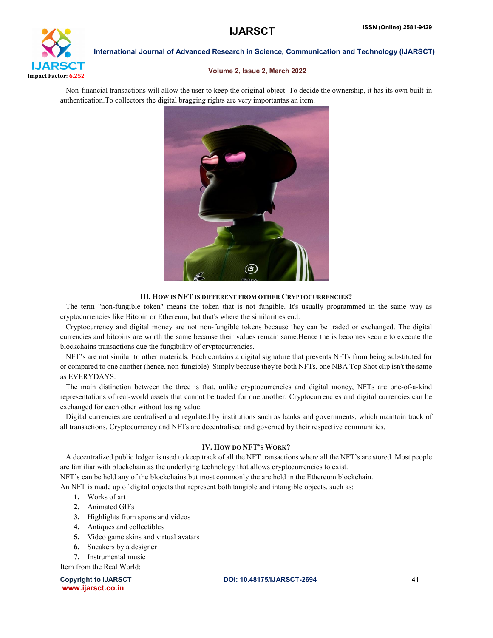

#### Volume 2, Issue 2, March 2022

 Non-financial transactions will allow the user to keep the original object. To decide the ownership, it has its own built-in authentication.To collectors the digital bragging rights are very importantas an item.



#### III. HOW IS NFT IS DIFFERENT FROM OTHER CRYPTOCURRENCIES?

 The term "non-fungible token" means the token that is not fungible. It's usually programmed in the same way as cryptocurrencies like Bitcoin or Ethereum, but that's where the similarities end.

 Cryptocurrency and digital money are not non-fungible tokens because they can be traded or exchanged. The digital currencies and bitcoins are worth the same because their values remain same.Hence the is becomes secure to execute the blockchains transactions due the fungibility of cryptocurrencies.

 NFT's are not similar to other materials. Each contains a digital signature that prevents NFTs from being substituted for or compared to one another (hence, non-fungible). Simply because they're both NFTs, one NBA Top Shot clip isn't the same as EVERYDAYS.

 The main distinction between the three is that, unlike cryptocurrencies and digital money, NFTs are one-of-a-kind representations of real-world assets that cannot be traded for one another. Cryptocurrencies and digital currencies can be exchanged for each other without losing value.

 Digital currencies are centralised and regulated by institutions such as banks and governments, which maintain track of all transactions. Cryptocurrency and NFTs are decentralised and governed by their respective communities.

### IV. HOW DO NFT'S WORK?

 A decentralized public ledger is used to keep track of all the NFT transactions where all the NFT's are stored. Most people are familiar with blockchain as the underlying technology that allows cryptocurrencies to exist.

NFT's can be held any of the blockchains but most commonly the are held in the Ethereum blockchain.

An NFT is made up of digital objects that represent both tangible and intangible objects, such as:

- 1. Works of art
- 2. Animated GIFs
- 3. Highlights from sports and videos
- 4. Antiques and collectibles
- 5. Video game skins and virtual avatars
- 6. Sneakers by a designer

7. Instrumental music

Item from the Real World:

Copyright to IJARSCT DOI: 10.48175/IJARSCT-2694 41 www.ijarsct.co.in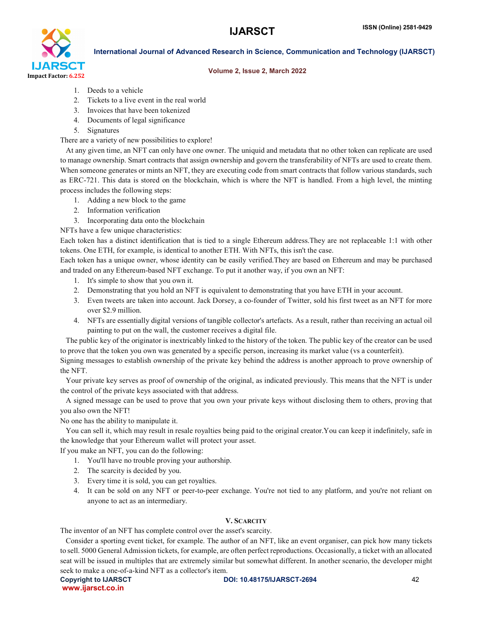

### Volume 2, Issue 2, March 2022

- 1. Deeds to a vehicle
- 2. Tickets to a live event in the real world
- 3. Invoices that have been tokenized
- 4. Documents of legal significance
- 5. Signatures

There are a variety of new possibilities to explore!

 At any given time, an NFT can only have one owner. The uniquid and metadata that no other token can replicate are used to manage ownership. Smart contracts that assign ownership and govern the transferability of NFTs are used to create them. When someone generates or mints an NFT, they are executing code from smart contracts that follow various standards, such as ERC-721. This data is stored on the blockchain, which is where the NFT is handled. From a high level, the minting process includes the following steps:

- 1. Adding a new block to the game
- 2. Information verification
- 3. Incorporating data onto the blockchain

NFTs have a few unique characteristics:

Each token has a distinct identification that is tied to a single Ethereum address.They are not replaceable 1:1 with other tokens. One ETH, for example, is identical to another ETH. With NFTs, this isn't the case.

Each token has a unique owner, whose identity can be easily verified.They are based on Ethereum and may be purchased and traded on any Ethereum-based NFT exchange. To put it another way, if you own an NFT:

- 1. It's simple to show that you own it.
- 2. Demonstrating that you hold an NFT is equivalent to demonstrating that you have ETH in your account.
- 3. Even tweets are taken into account. Jack Dorsey, a co-founder of Twitter, sold his first tweet as an NFT for more over \$2.9 million.
- 4. NFTs are essentially digital versions of tangible collector's artefacts. As a result, rather than receiving an actual oil painting to put on the wall, the customer receives a digital file.

 The public key of the originator is inextricably linked to the history of the token. The public key of the creator can be used to prove that the token you own was generated by a specific person, increasing its market value (vs a counterfeit).

Signing messages to establish ownership of the private key behind the address is another approach to prove ownership of the NFT.

 Your private key serves as proof of ownership of the original, as indicated previously. This means that the NFT is under the control of the private keys associated with that address.

 A signed message can be used to prove that you own your private keys without disclosing them to others, proving that you also own the NFT!

No one has the ability to manipulate it.

 You can sell it, which may result in resale royalties being paid to the original creator.You can keep it indefinitely, safe in the knowledge that your Ethereum wallet will protect your asset.

If you make an NFT, you can do the following:

- 1. You'll have no trouble proving your authorship.
- 2. The scarcity is decided by you.
- 3. Every time it is sold, you can get royalties.
- 4. It can be sold on any NFT or peer-to-peer exchange. You're not tied to any platform, and you're not reliant on anyone to act as an intermediary.

# V. SCARCITY

The inventor of an NFT has complete control over the asset's scarcity.

 Consider a sporting event ticket, for example. The author of an NFT, like an event organiser, can pick how many tickets to sell. 5000 General Admission tickets, for example, are often perfect reproductions. Occasionally, a ticket with an allocated seat will be issued in multiples that are extremely similar but somewhat different. In another scenario, the developer might seek to make a one-of-a-kind NFT as a collector's item.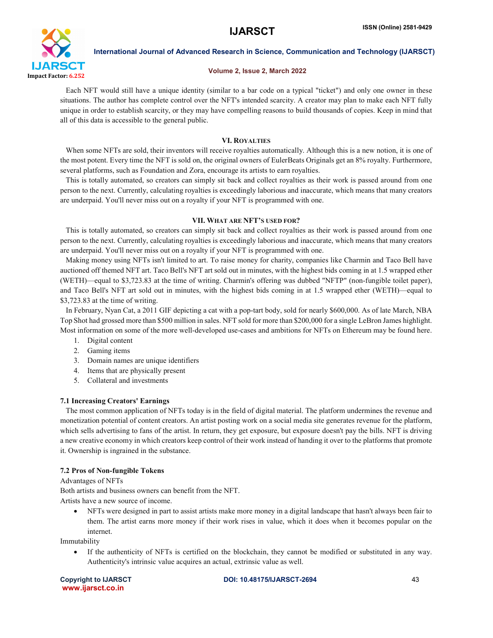

#### Volume 2, Issue 2, March 2022

 Each NFT would still have a unique identity (similar to a bar code on a typical "ticket") and only one owner in these situations. The author has complete control over the NFT's intended scarcity. A creator may plan to make each NFT fully unique in order to establish scarcity, or they may have compelling reasons to build thousands of copies. Keep in mind that all of this data is accessible to the general public.

### VI. ROYALTIES

When some NFTs are sold, their inventors will receive royalties automatically. Although this is a new notion, it is one of the most potent. Every time the NFT is sold on, the original owners of EulerBeats Originals get an 8% royalty. Furthermore, several platforms, such as Foundation and Zora, encourage its artists to earn royalties.

 This is totally automated, so creators can simply sit back and collect royalties as their work is passed around from one person to the next. Currently, calculating royalties is exceedingly laborious and inaccurate, which means that many creators are underpaid. You'll never miss out on a royalty if your NFT is programmed with one.

#### VII. WHAT ARE NFT'S USED FOR?

 This is totally automated, so creators can simply sit back and collect royalties as their work is passed around from one person to the next. Currently, calculating royalties is exceedingly laborious and inaccurate, which means that many creators are underpaid. You'll never miss out on a royalty if your NFT is programmed with one.

 Making money using NFTs isn't limited to art. To raise money for charity, companies like Charmin and Taco Bell have auctioned off themed NFT art. Taco Bell's NFT art sold out in minutes, with the highest bids coming in at 1.5 wrapped ether (WETH)—equal to \$3,723.83 at the time of writing. Charmin's offering was dubbed "NFTP" (non-fungible toilet paper), and Taco Bell's NFT art sold out in minutes, with the highest bids coming in at 1.5 wrapped ether (WETH)—equal to \$3,723.83 at the time of writing.

 In February, Nyan Cat, a 2011 GIF depicting a cat with a pop-tart body, sold for nearly \$600,000. As of late March, NBA Top Shot had grossed more than \$500 million in sales. NFT sold for more than \$200,000 for a single LeBron James highlight. Most information on some of the more well-developed use-cases and ambitions for NFTs on Ethereum may be found here.

- 1. Digital content
- 2. Gaming items
- 3. Domain names are unique identifiers
- 4. Items that are physically present
- 5. Collateral and investments

#### 7.1 Increasing Creators' Earnings

 The most common application of NFTs today is in the field of digital material. The platform undermines the revenue and monetization potential of content creators. An artist posting work on a social media site generates revenue for the platform, which sells advertising to fans of the artist. In return, they get exposure, but exposure doesn't pay the bills. NFT is driving a new creative economy in which creators keep control of their work instead of handing it over to the platforms that promote it. Ownership is ingrained in the substance.

#### 7.2 Pros of Non-fungible Tokens

Advantages of NFTs Both artists and business owners can benefit from the NFT. Artists have a new source of income.

 NFTs were designed in part to assist artists make more money in a digital landscape that hasn't always been fair to them. The artist earns more money if their work rises in value, which it does when it becomes popular on the internet.

Immutability

 If the authenticity of NFTs is certified on the blockchain, they cannot be modified or substituted in any way. Authenticity's intrinsic value acquires an actual, extrinsic value as well.

www.ijarsct.co.in

Copyright to IJARSCT and the CODI: 10.48175/IJARSCT-2694 43